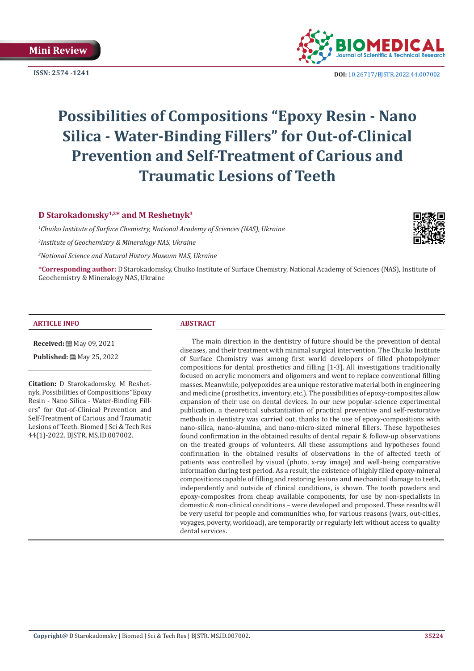

**ISSN: 2574 -1241 DOI:** [10.26717/BJSTR.2022.44.007002](https://dx.doi.org/10.26717/BJSTR.2022.44.007002)

# **Possibilities of Compositions "Epoxy Resin - Nano Silica - Water-Binding Fillers" for Out-of-Clinical Prevention and Self-Treatment of Carious and Traumatic Lesions of Teeth**

**D Starokadomsky1,2\* and M Reshetnyk3**

*1 Chuiko Institute of Surface Chemistry, National Academy of Sciences (NAS), Ukraine 2 Institute of Geochemistry & Mineralogy NAS, Ukraine*

*3 National Science and Natural History Museum NAS, Ukraine*

**\*Corresponding author:** D Starokadomsky, Chuiko Institute of Surface Chemistry, National Academy of Sciences (NAS), Institute of Geochemistry & Mineralogy NAS, Ukraine

#### **ARTICLE INFO ABSTRACT**

**Received:** 圖 May 09, 2021

Published: [2012] May 25, 2022

**Citation:** D Starokadomsky, M Reshetnyk. Possibilities of Compositions "Epoxy Resin - Nano Silica - Water-Binding Fillers" for Out-of-Clinical Prevention and Self-Treatment of Carious and Traumatic Lesions of Teeth. Biomed J Sci & Tech Res 44(1)-2022. BJSTR. MS.ID.007002.

The main direction in the dentistry of future should be the prevention of dental diseases, and their treatment with minimal surgical intervention. The Chuiko Institute of Surface Chemistry was among first world developers of filled photopolymer compositions for dental prosthetics and filling [1-3]. All investigations traditionally focused on acrylic monomers and oligomers and went to replace conventional filling masses. Meanwhile, polyepoxides are a unique restorative material both in engineering and medicine (prosthetics, inventory, etc.). The possibilities of epoxy-composites allow expansion of their use on dental devices. In our new popular-science experimental publication, a theoretical substantiation of practical preventive and self-restorative methods in dentistry was carried out, thanks to the use of epoxy-compositions with nano-silica, nano-alumina, and nano-micro-sized mineral fillers. These hypotheses found confirmation in the obtained results of dental repair & follow-up observations on the treated groups of volunteers. All these assumptions and hypotheses found confirmation in the obtained results of observations in the of affected teeth of patients was controlled by visual (photo, x-ray image) and well-being comparative information during test period. As a result, the existence of highly filled epoxy-mineral compositions capable of filling and restoring lesions and mechanical damage to teeth, independently and outside of clinical conditions, is shown. The tooth powders and epoxy-composites from cheap available components, for use by non-specialists in domestic & non-clinical conditions – were developed and proposed. These results will be very useful for people and communities who, for various reasons (wars, out-cities, voyages, poverty, workload), are temporarily or regularly left without access to quality dental services.

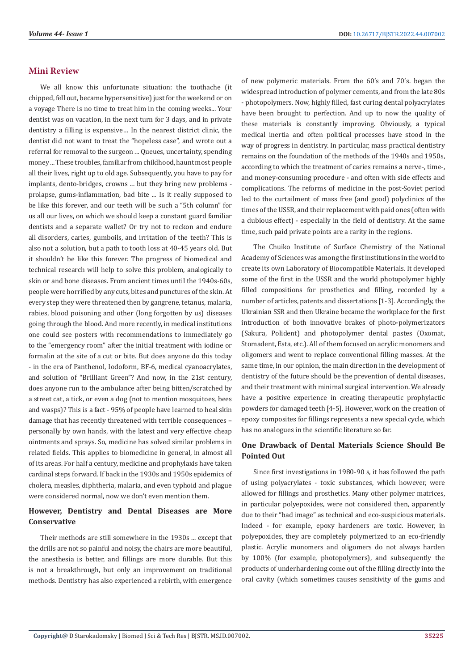# **Mini Review**

We all know this unfortunate situation: the toothache (it chipped, fell out, became hypersensitive) just for the weekend or on a voyage There is no time to treat him in the coming weeks... Your dentist was on vacation, in the next turn for 3 days, and in private dentistry a filling is expensive… In the nearest district clinic, the dentist did not want to treat the "hopeless case", and wrote out a referral for removal to the surgeon ... Queues, uncertainty, spending money ... These troubles, familiar from childhood, haunt most people all their lives, right up to old age. Subsequently, you have to pay for implants, dento-bridges, crowns ... but they bring new problems prolapse, gums-inflammation, bad bite ... Is it really supposed to be like this forever, and our teeth will be such a "5th column" for us all our lives, on which we should keep a constant guard familiar dentists and a separate wallet? Or try not to reckon and endure all disorders, caries, gumboils, and irritation of the teeth? This is also not a solution, but a path to tooth loss at 40-45 years old. But it shouldn't be like this forever. The progress of biomedical and technical research will help to solve this problem, analogically to skin or and bone diseases. From ancient times until the 1940s-60s, people were horrified by any cuts, bites and punctures of the skin. At every step they were threatened then by gangrene, tetanus, malaria, rabies, blood poisoning and other (long forgotten by us) diseases going through the blood. And more recently, in medical institutions one could see posters with recommendations to immediately go to the "emergency room" after the initial treatment with iodine or formalin at the site of a cut or bite. But does anyone do this today - in the era of Panthenol, Iodoform, BF-6, medical cyanoacrylates, and solution of "Brilliant Green"? And now, in the 21st century, does anyone run to the ambulance after being bitten/scratched by a street cat, a tick, or even a dog (not to mention mosquitoes, bees and wasps)? This is a fact - 95% of people have learned to heal skin damage that has recently threatened with terrible consequences – personally by own hands, with the latest and very effective cheap ointments and sprays. So, medicine has solved similar problems in related fields. This applies to biomedicine in general, in almost all of its areas. For half a century, medicine and prophylaxis have taken cardinal steps forward. If back in the 1930s and 1950s epidemics of cholera, measles, diphtheria, malaria, and even typhoid and plague were considered normal, now we don't even mention them.

# **However, Dentistry and Dental Diseases are More Conservative**

Their methods are still somewhere in the 1930s ... except that the drills are not so painful and noisy, the chairs are more beautiful, the anesthesia is better, and fillings are more durable. But this is not a breakthrough, but only an improvement on traditional methods. Dentistry has also experienced a rebirth, with emergence of new polymeric materials. From the 60's and 70's. began the widespread introduction of polymer cements, and from the late 80s - photopolymers. Now, highly filled, fast curing dental polyacrylates have been brought to perfection. And up to now the quality of these materials is constantly improving. Obviously, a typical medical inertia and often political processes have stood in the way of progress in dentistry. In particular, mass practical dentistry remains on the foundation of the methods of the 1940s and 1950s, according to which the treatment of caries remains a nerve-, time-, and money-consuming procedure - and often with side effects and complications. The reforms of medicine in the post-Soviet period led to the curtailment of mass free (and good) polyclinics of the times of the USSR, and their replacement with paid ones (often with a dubious effect) - especially in the field of dentistry. At the same time, such paid private points are a rarity in the regions.

The Chuiko Institute of Surface Chemistry of the National Academy of Sciences was among the first institutions in the world to create its own Laboratory of Biocompatible Materials. It developed some of the first in the USSR and the world photopolymer highly filled compositions for prosthetics and filling, recorded by a number of articles, patents and dissertations [1-3]. Accordingly, the Ukrainian SSR and then Ukraine became the workplace for the first introduction of both innovative brakes of photo-polymerizators (Sakura, Polident) and photopolymer dental pastes (Oxomat, Stomadent, Esta, etc.). All of them focused on acrylic monomers and oligomers and went to replace conventional filling masses. At the same time, in our opinion, the main direction in the development of dentistry of the future should be the prevention of dental diseases, and their treatment with minimal surgical intervention. We already have a positive experience in creating therapeutic prophylactic powders for damaged teeth [4-5]. However, work on the creation of epoxy composites for fillings represents a new special cycle, which has no analogues in the scientific literature so far.

# **One Drawback of Dental Materials Science Should Be Pointed Out**

Since first investigations in 1980-90 s, it has followed the path of using polyacrylates - toxic substances, which however, were allowed for fillings and prosthetics. Many other polymer matrices, in particular polyepoxides, were not considered then, apparently due to their "bad image" as technical and eco-suspicious materials. Indeed - for example, epoxy hardeners are toxic. However, in polyepoxides, they are completely polymerized to an eco-friendly plastic. Acrylic monomers and oligomers do not always harden by 100% (for example, photopolymers), and subsequently the products of underhardening come out of the filling directly into the oral cavity (which sometimes causes sensitivity of the gums and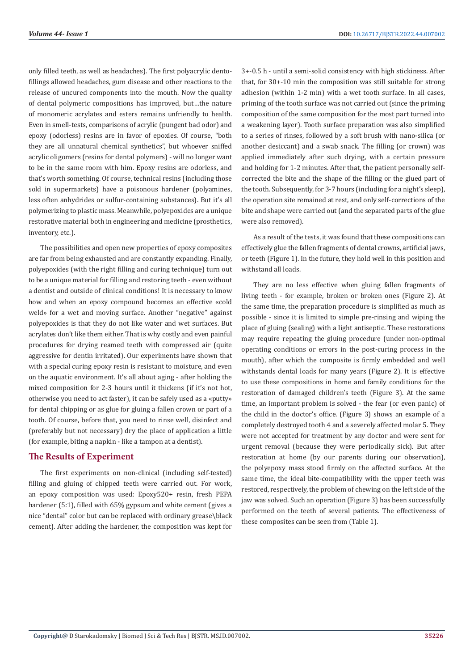only filled teeth, as well as headaches). The first polyacrylic dentofillings allowed headaches, gum disease and other reactions to the release of uncured components into the mouth. Now the quality of dental polymeric compositions has improved, but…the nature of monomeric acrylates and esters remains unfriendly to health. Even in smell-tests, comparisons of acrylic (pungent bad odor) and epoxy (odorless) resins are in favor of epoxies. Of course, "both they are all unnatural chemical synthetics", but whoever sniffed acrylic oligomers (resins for dental polymers) - will no longer want to be in the same room with him. Epoxy resins are odorless, and that's worth something. Of course, technical resins (including those sold in supermarkets) have a poisonous hardener (polyamines, less often anhydrides or sulfur-containing substances). But it's all polymerizing to plastic mass. Meanwhile, polyepoxides are a unique restorative material both in engineering and medicine (prosthetics, inventory, etc.).

The possibilities and open new properties of epoxy composites are far from being exhausted and are constantly expanding. Finally, polyepoxides (with the right filling and curing technique) turn out to be a unique material for filling and restoring teeth - even without a dentist and outside of clinical conditions! It is necessary to know how and when an epoxy compound becomes an effective «cold weld» for a wet and moving surface. Another "negative" against polyepoxides is that they do not like water and wet surfaces. But acrylates don't like them either. That is why costly and even painful procedures for drying reamed teeth with compressed air (quite aggressive for dentin irritated). Our experiments have shown that with a special curing epoxy resin is resistant to moisture, and even on the aquatic environment. It's all about aging - after holding the mixed composition for 2-3 hours until it thickens (if it's not hot, otherwise you need to act faster), it can be safely used as a «putty» for dental chipping or as glue for gluing a fallen crown or part of a tooth. Of course, before that, you need to rinse well, disinfect and (preferably but not necessary) dry the place of application a little (for example, biting a napkin - like a tampon at a dentist).

# **The Results of Experiment**

The first experiments on non-clinical (including self-tested) filling and gluing of chipped teeth were carried out. For work, an epoxy composition was used: Epoxy520+ resin, fresh PEPA hardener (5:1), filled with 65% gypsum and white cement (gives a nice "dental" color but can be replaced with ordinary grease\black cement). After adding the hardener, the composition was kept for

3+-0.5 h - until a semi-solid consistency with high stickiness. After that, for 30+-10 min the composition was still suitable for strong adhesion (within 1-2 min) with a wet tooth surface. In all cases, priming of the tooth surface was not carried out (since the priming composition of the same composition for the most part turned into a weakening layer). Tooth surface preparation was also simplified to a series of rinses, followed by a soft brush with nano-silica (or another desiccant) and a swab snack. The filling (or crown) was applied immediately after such drying, with a certain pressure and holding for 1-2 minutes. After that, the patient personally selfcorrected the bite and the shape of the filling or the glued part of the tooth. Subsequently, for 3-7 hours (including for a night's sleep), the operation site remained at rest, and only self-corrections of the bite and shape were carried out (and the separated parts of the glue were also removed).

As a result of the tests, it was found that these compositions can effectively glue the fallen fragments of dental crowns, artificial jaws, or teeth (Figure 1). In the future, they hold well in this position and withstand all loads.

They are no less effective when gluing fallen fragments of living teeth - for example, broken or broken ones (Figure 2). At the same time, the preparation procedure is simplified as much as possible - since it is limited to simple pre-rinsing and wiping the place of gluing (sealing) with a light antiseptic. These restorations may require repeating the gluing procedure (under non-optimal operating conditions or errors in the post-curing process in the mouth), after which the composite is firmly embedded and well withstands dental loads for many years (Figure 2). It is effective to use these compositions in home and family conditions for the restoration of damaged children's teeth (Figure 3). At the same time, an important problem is solved - the fear (or even panic) of the child in the doctor's office. (Figure 3) shows an example of a completely destroyed tooth 4 and a severely affected molar 5. They were not accepted for treatment by any doctor and were sent for urgent removal (because they were periodically sick). But after restoration at home (by our parents during our observation), the polyepoxy mass stood firmly on the affected surface. At the same time, the ideal bite-compatibility with the upper teeth was restored, respectively, the problem of chewing on the left side of the jaw was solved. Such an operation (Figure 3) has been successfully performed on the teeth of several patients. The effectiveness of these composites can be seen from (Table 1).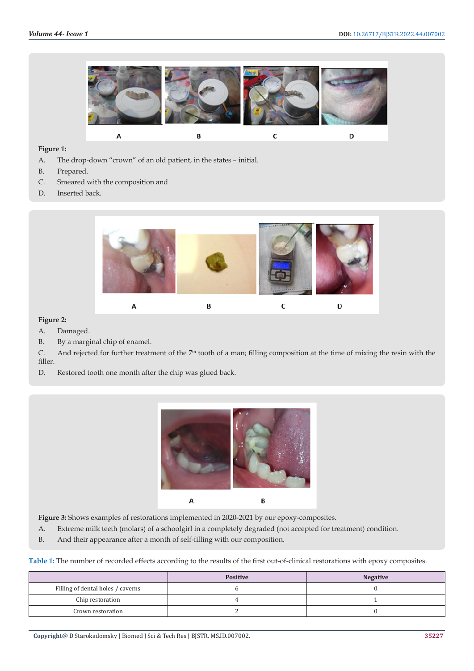

### **Figure 1:**

- A. The drop-down "crown" of an old patient, in the states initial.
- B. Prepared.
- C. Smeared with the composition and
- D. Inserted back.



#### **Figure 2:**

- A. Damaged.
- B. By a marginal chip of enamel.

C. And rejected for further treatment of the  $7<sup>th</sup>$  tooth of a man; filling composition at the time of mixing the resin with the filler.

D. Restored tooth one month after the chip was glued back.



Figure 3: Shows examples of restorations implemented in 2020-2021 by our epoxy-composites.

- A. Extreme milk teeth (molars) of a schoolgirl in a completely degraded (not accepted for treatment) condition.
- B. And their appearance after a month of self-filling with our composition.

**Table 1:** The number of recorded effects according to the results of the first out-of-clinical restorations with epoxy composites.

|                                   | <b>Positive</b> | <b>Negative</b> |
|-----------------------------------|-----------------|-----------------|
| Filling of dental holes / caverns |                 |                 |
| Chip restoration                  |                 |                 |
| Crown restoration                 |                 |                 |